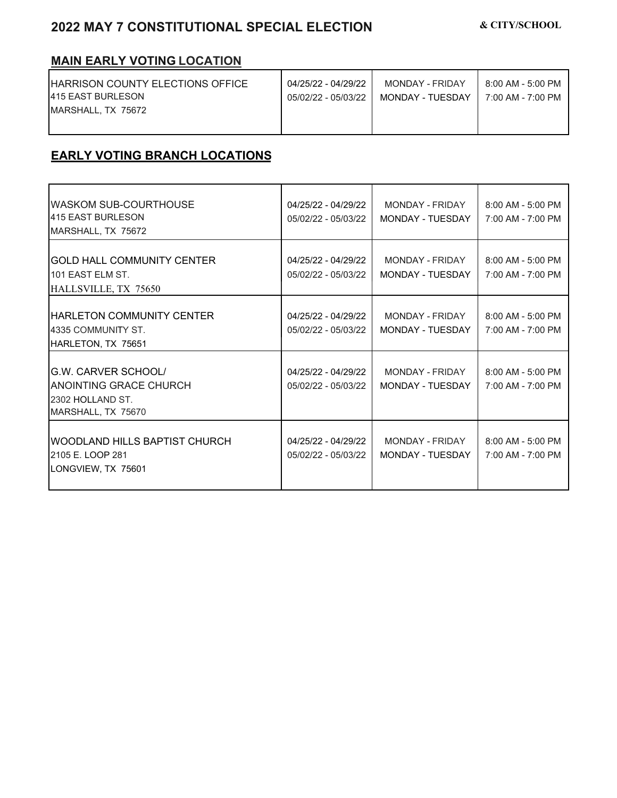## **2022 MAY 7 CONSTITUTIONAL SPECIAL ELECTION & CITY/SCHOOL**

## **MAIN EARLY VOTING LOCATION**

| IHARRISON COUNTY ELECTIONS OFFICE | 04/25/22 - 04/29/22 | MONDAY - FRIDAY    | 8:00 AM - 5:00 PM |
|-----------------------------------|---------------------|--------------------|-------------------|
| <b>415 EAST BURLESON</b>          | 05/02/22 - 05/03/22 | MONDAY - TUFSDAY I | 7:00 AM - 7:00 PM |
| MARSHALL, TX 75672                |                     |                    |                   |
|                                   |                     |                    |                   |
|                                   |                     |                    |                   |

## **EARLY VOTING BRANCH LOCATIONS**

| <b>WASKOM SUB-COURTHOUSE</b><br>415 EAST BURLESON<br>MARSHALL, TX 75672                        | 04/25/22 - 04/29/22<br>05/02/22 - 05/03/22 | MONDAY - FRIDAY<br>MONDAY - TUESDAY | $8:00$ AM - 5:00 PM<br>7:00 AM - 7:00 PM |
|------------------------------------------------------------------------------------------------|--------------------------------------------|-------------------------------------|------------------------------------------|
| <b>GOLD HALL COMMUNITY CENTER</b><br>101 FAST FI M ST<br>HALLSVILLE, TX 75650                  | 04/25/22 - 04/29/22<br>05/02/22 - 05/03/22 | MONDAY - FRIDAY<br>MONDAY - TUESDAY | $8:00$ AM - 5:00 PM<br>7:00 AM - 7:00 PM |
| <b>HARLETON COMMUNITY CENTER</b><br>4335 COMMUNITY ST.<br>HARLETON, TX 75651                   | 04/25/22 - 04/29/22<br>05/02/22 - 05/03/22 | MONDAY - FRIDAY<br>MONDAY - TUESDAY | 8:00 AM - 5:00 PM<br>7:00 AM - 7:00 PM   |
| G.W. CARVER SCHOOL/<br><b>ANOINTING GRACE CHURCH</b><br>2302 HOLLAND ST.<br>MARSHALL, TX 75670 | 04/25/22 - 04/29/22<br>05/02/22 - 05/03/22 | MONDAY - FRIDAY<br>MONDAY - TUESDAY | $8:00$ AM - 5:00 PM<br>7:00 AM - 7:00 PM |
| WOODLAND HILLS BAPTIST CHURCH<br>2105 E. LOOP 281<br>LONGVIEW, TX 75601                        | 04/25/22 - 04/29/22<br>05/02/22 - 05/03/22 | MONDAY - FRIDAY<br>MONDAY - TUESDAY | $8:00$ AM - 5:00 PM<br>7:00 AM - 7:00 PM |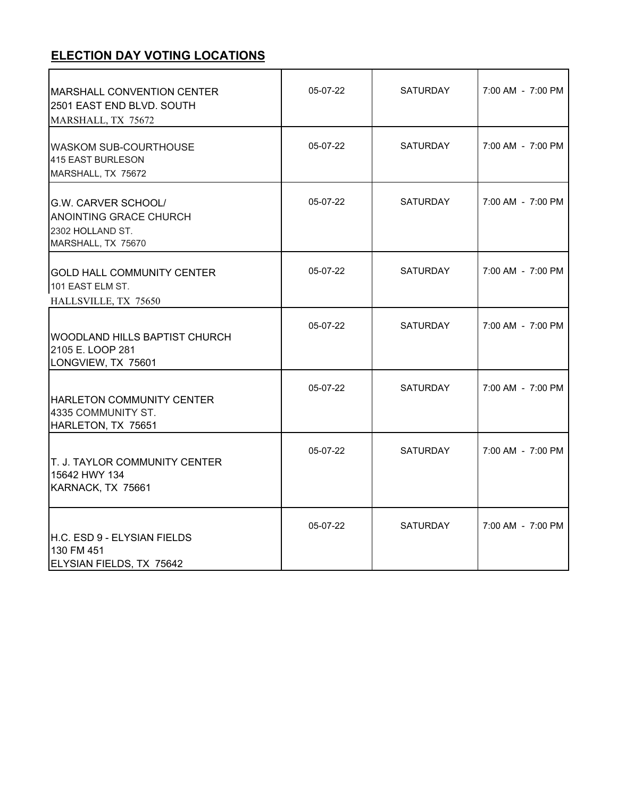## **ELECTION DAY VOTING LOCATIONS**

| <b>MARSHALL CONVENTION CENTER</b><br>2501 EAST END BLVD. SOUTH<br>MARSHALL, TX 75672                  | 05-07-22 | <b>SATURDAY</b> | 7:00 AM - 7:00 PM |
|-------------------------------------------------------------------------------------------------------|----------|-----------------|-------------------|
| <b>WASKOM SUB-COURTHOUSE</b><br>415 EAST BURLESON<br>MARSHALL, TX 75672                               | 05-07-22 | SATURDAY        | 7:00 AM - 7:00 PM |
| <b>G.W. CARVER SCHOOL/</b><br><b>ANOINTING GRACE CHURCH</b><br>2302 HOLLAND ST.<br>MARSHALL, TX 75670 | 05-07-22 | SATURDAY        | 7:00 AM - 7:00 PM |
| IGOLD HALL COMMUNITY CENTER<br>101 EAST ELM ST.<br>HALLSVILLE, TX 75650                               | 05-07-22 | <b>SATURDAY</b> | 7:00 AM - 7:00 PM |
| WOODLAND HILLS BAPTIST CHURCH<br>2105 E. LOOP 281<br>LONGVIEW, TX 75601                               | 05-07-22 | <b>SATURDAY</b> | 7:00 AM - 7:00 PM |
| <b>HARLETON COMMUNITY CENTER</b><br>4335 COMMUNITY ST.<br>HARLETON, TX 75651                          | 05-07-22 | SATURDAY        | 7:00 AM - 7:00 PM |
| <b>T. J. TAYLOR COMMUNITY CENTER</b><br>15642 HWY 134<br>KARNACK, TX 75661                            | 05-07-22 | <b>SATURDAY</b> | 7:00 AM - 7:00 PM |
| H.C. ESD 9 - ELYSIAN FIELDS<br>130 FM 451<br>ELYSIAN FIELDS, TX 75642                                 | 05-07-22 | <b>SATURDAY</b> | 7:00 AM - 7:00 PM |